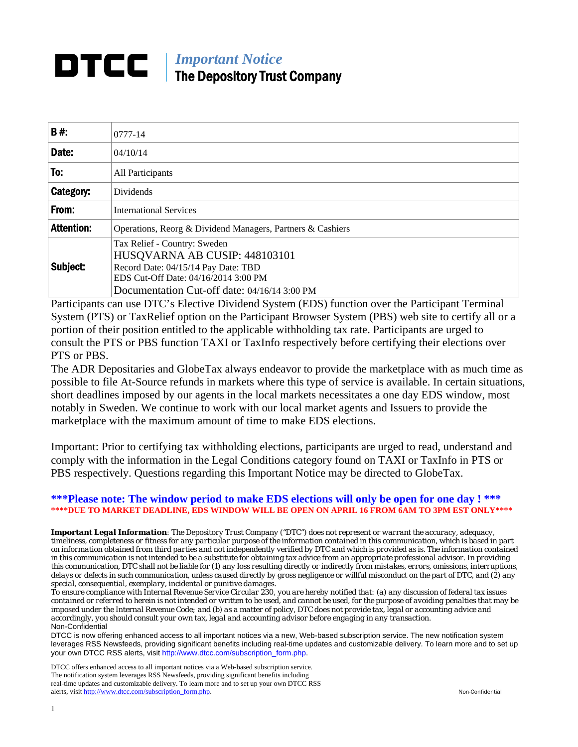# *Important Notice*  The Depository Trust Company

| <b>B#:</b>        | 0777-14                                                                                                                                                                                      |
|-------------------|----------------------------------------------------------------------------------------------------------------------------------------------------------------------------------------------|
| Date:             | 04/10/14                                                                                                                                                                                     |
| To:               | All Participants                                                                                                                                                                             |
| Category:         | <b>Dividends</b>                                                                                                                                                                             |
| From:             | <b>International Services</b>                                                                                                                                                                |
| <b>Attention:</b> | Operations, Reorg & Dividend Managers, Partners & Cashiers                                                                                                                                   |
| Subject:          | Tax Relief - Country: Sweden<br>HUSQVARNA AB CUSIP: 448103101<br>Record Date: 04/15/14 Pay Date: TBD<br>EDS Cut-Off Date: 04/16/2014 3:00 PM<br>Documentation Cut-off date: 04/16/14 3:00 PM |

Participants can use DTC's Elective Dividend System (EDS) function over the Participant Terminal System (PTS) or TaxRelief option on the Participant Browser System (PBS) web site to certify all or a portion of their position entitled to the applicable withholding tax rate. Participants are urged to consult the PTS or PBS function TAXI or TaxInfo respectively before certifying their elections over PTS or PBS.

The ADR Depositaries and GlobeTax always endeavor to provide the marketplace with as much time as possible to file At-Source refunds in markets where this type of service is available. In certain situations, short deadlines imposed by our agents in the local markets necessitates a one day EDS window, most notably in Sweden. We continue to work with our local market agents and Issuers to provide the marketplace with the maximum amount of time to make EDS elections.

Important: Prior to certifying tax withholding elections, participants are urged to read, understand and comply with the information in the Legal Conditions category found on TAXI or TaxInfo in PTS or PBS respectively. Questions regarding this Important Notice may be directed to GlobeTax.

#### **\*\*\*Please note: The window period to make EDS elections will only be open for one day ! \*\*\* \*\*\*\*DUE TO MARKET DEADLINE, EDS WINDOW WILL BE OPEN ON APRIL 16 FROM 6AM TO 3PM EST ONLY\*\*\*\***

*Important Legal Information: The Depository Trust Company ("DTC") does not represent or warrant the accuracy, adequacy, timeliness, completeness or fitness for any particular purpose of the information contained in this communication, which is based in part on information obtained from third parties and not independently verified by DTC and which is provided as is. The information contained in this communication is not intended to be a substitute for obtaining tax advice from an appropriate professional advisor. In providing this communication, DTC shall not be liable for (1) any loss resulting directly or indirectly from mistakes, errors, omissions, interruptions, delays or defects in such communication, unless caused directly by gross negligence or willful misconduct on the part of DTC, and (2) any special, consequential, exemplary, incidental or punitive damages.* 

*To ensure compliance with Internal Revenue Service Circular 230, you are hereby notified that: (a) any discussion of federal tax issues contained or referred to herein is not intended or written to be used, and cannot be used, for the purpose of avoiding penalties that may be imposed under the Internal Revenue Code; and (b) as a matter of policy, DTC does not provide tax, legal or accounting advice and accordingly, you should consult your own tax, legal and accounting advisor before engaging in any transaction.* Non-Confidential

DTCC is now offering enhanced access to all important notices via a new, Web-based subscription service. The new notification system leverages RSS Newsfeeds, providing significant benefits including real-time updates and customizable delivery. To learn more and to set up your own DTCC RSS alerts, visit http://www.dtcc.com/subscription\_form.php.

DTCC offers enhanced access to all important notices via a Web-based subscription service. The notification system leverages RSS Newsfeeds, providing significant benefits including real-time updates and customizable delivery. To learn more and to set up your own DTCC RSS alerts, visit http://www.dtcc.com/subscription\_form.php. Non-Confidential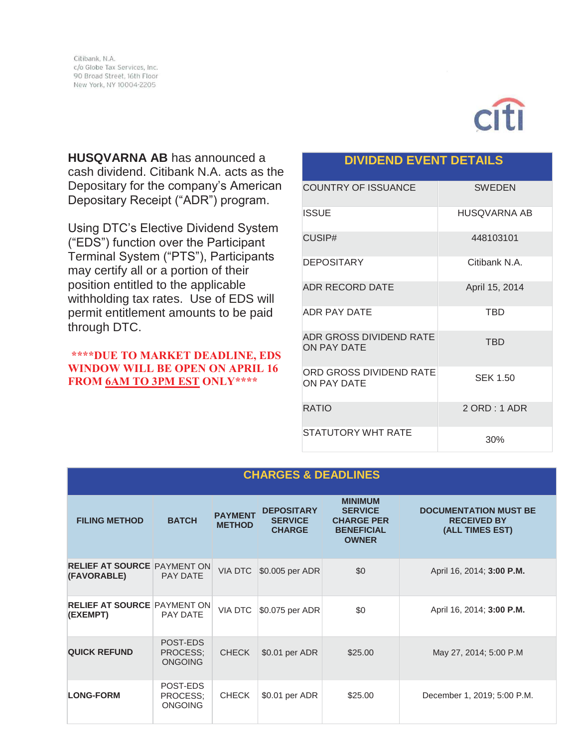

**HUSQVARNA AB** has announced a cash dividend. Citibank N.A. acts as the Depositary for the company's American Depositary Receipt ("ADR") program.

Using DTC's Elective Dividend System ("EDS") function over the Participant Terminal System ("PTS"), Participants may certify all or a portion of their position entitled to the applicable withholding tax rates. Use of EDS will permit entitlement amounts to be paid through DTC.

## **\*\*\*\*DUE TO MARKET DEADLINE, EDS WINDOW WILL BE OPEN ON APRIL 16 FROM 6AM TO 3PM EST ONLY\*\*\*\***

# **DIVIDEND EVENT DETAILS**

| <b>COUNTRY OF ISSUANCE</b>                    | <b>SWEDEN</b>   |
|-----------------------------------------------|-----------------|
| ISSUE                                         | HUSQVARNA AB    |
| CUSIP#                                        | 448103101       |
| <b>DEPOSITARY</b>                             | Citibank N.A.   |
| <b>ADR RECORD DATE</b>                        | April 15, 2014  |
| <b>ADR PAY DATE</b>                           | TBD             |
| ADR GROSS DIVIDEND RATE<br>ON PAY DATE        | <b>TBD</b>      |
| ORD GROSS DIVIDEND RATE<br><b>ON PAY DATE</b> | <b>SEK 1.50</b> |
| <b>RATIO</b>                                  | 2 ORD: 1 ADR    |
| STATUTORY WHT RATE                            | 30%             |

| <b>CHARGES &amp; DEADLINES</b>                    |                                        |                                 |                                                      |                                                                                            |                                                                       |
|---------------------------------------------------|----------------------------------------|---------------------------------|------------------------------------------------------|--------------------------------------------------------------------------------------------|-----------------------------------------------------------------------|
| <b>FILING METHOD</b>                              | <b>BATCH</b>                           | <b>PAYMENT</b><br><b>METHOD</b> | <b>DEPOSITARY</b><br><b>SERVICE</b><br><b>CHARGE</b> | <b>MINIMUM</b><br><b>SERVICE</b><br><b>CHARGE PER</b><br><b>BENEFICIAL</b><br><b>OWNER</b> | <b>DOCUMENTATION MUST BE</b><br><b>RECEIVED BY</b><br>(ALL TIMES EST) |
| <b>RELIEF AT SOURCE PAYMENT ON</b><br>(FAVORABLE) | <b>PAY DATE</b>                        | VIA DTC                         | \$0.005 per ADR                                      | \$0                                                                                        | April 16, 2014; 3:00 P.M.                                             |
| <b>RELIEF AT SOURCE PAYMENT ON</b><br>(EXEMPT)    | PAY DATE                               | <b>VIA DTC</b>                  | \$0.075 per ADR                                      | \$0                                                                                        | April 16, 2014; 3:00 P.M.                                             |
| <b>QUICK REFUND</b>                               | POST-EDS<br>PROCESS:<br><b>ONGOING</b> | <b>CHECK</b>                    | \$0.01 per ADR                                       | \$25.00                                                                                    | May 27, 2014; 5:00 P.M                                                |
| <b>LONG-FORM</b>                                  | POST-EDS<br>PROCESS:<br><b>ONGOING</b> | <b>CHECK</b>                    | \$0.01 per ADR                                       | \$25.00                                                                                    | December 1, 2019; 5:00 P.M.                                           |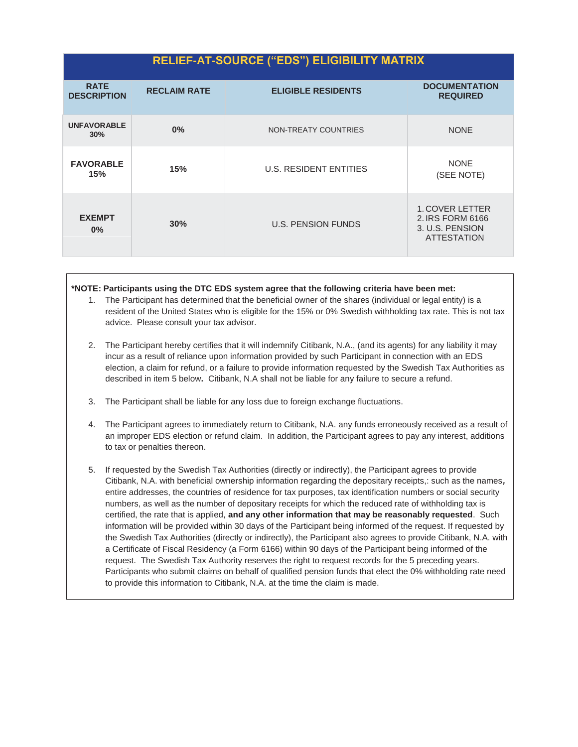# **RELIEF-AT-SOURCE ("EDS") ELIGIBILITY MATRIX**

| <b>RATE</b><br><b>DESCRIPTION</b> | <b>RECLAIM RATE</b> | <b>ELIGIBLE RESIDENTS</b>     | <b>DOCUMENTATION</b><br><b>REQUIRED</b>                                             |
|-----------------------------------|---------------------|-------------------------------|-------------------------------------------------------------------------------------|
| <b>UNFAVORABLE</b><br>30%         | 0%                  | NON-TREATY COUNTRIES          | <b>NONE</b>                                                                         |
| <b>FAVORABLE</b><br>15%           | 15%                 | <b>U.S. RESIDENT ENTITIES</b> | <b>NONE</b><br>(SEE NOTE)                                                           |
| <b>EXEMPT</b><br>$0\%$            | 30%                 | <b>U.S. PENSION FUNDS</b>     | <b>1. COVER LETTER</b><br>2. IRS FORM 6166<br>3. U.S. PENSION<br><b>ATTESTATION</b> |

#### **\*NOTE: Participants using the DTC EDS system agree that the following criteria have been met:**

- 1. The Participant has determined that the beneficial owner of the shares (individual or legal entity) is a resident of the United States who is eligible for the 15% or 0% Swedish withholding tax rate. This is not tax advice. Please consult your tax advisor.
- 2. The Participant hereby certifies that it will indemnify Citibank, N.A., (and its agents) for any liability it may incur as a result of reliance upon information provided by such Participant in connection with an EDS election, a claim for refund, or a failure to provide information requested by the Swedish Tax Authorities as described in item 5 below**.** Citibank, N.A shall not be liable for any failure to secure a refund.
- 3. The Participant shall be liable for any loss due to foreign exchange fluctuations.
- 4. The Participant agrees to immediately return to Citibank, N.A. any funds erroneously received as a result of an improper EDS election or refund claim. In addition, the Participant agrees to pay any interest, additions to tax or penalties thereon.
- 5. If requested by the Swedish Tax Authorities (directly or indirectly), the Participant agrees to provide Citibank, N.A. with beneficial ownership information regarding the depositary receipts,: such as the names*,*  entire addresses, the countries of residence for tax purposes, tax identification numbers or social security numbers, as well as the number of depositary receipts for which the reduced rate of withholding tax is certified, the rate that is applied, **and any other information that may be reasonably requested**. Such information will be provided within 30 days of the Participant being informed of the request. If requested by the Swedish Tax Authorities (directly or indirectly), the Participant also agrees to provide Citibank, N.A. with a Certificate of Fiscal Residency (a Form 6166) within 90 days of the Participant being informed of the request. The Swedish Tax Authority reserves the right to request records for the 5 preceding years. Participants who submit claims on behalf of qualified pension funds that elect the 0% withholding rate need to provide this information to Citibank, N.A. at the time the claim is made.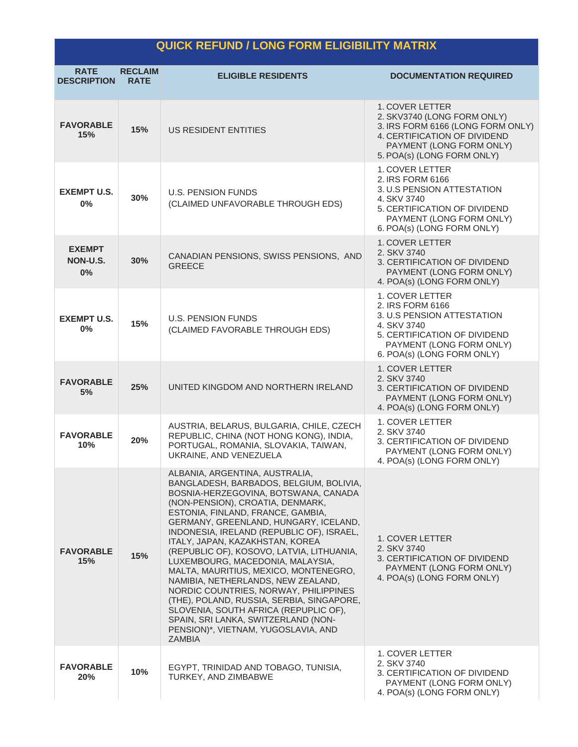# **QUICK REFUND / LONG FORM ELIGIBILITY MATRIX**

| <b>RATE</b><br><b>DESCRIPTION</b> | <b>RECLAIM</b><br><b>RATE</b> | <b>ELIGIBLE RESIDENTS</b>                                                                                                                                                                                                                                                                                                                                                                                                                                                                                                                                                                                                                                                                                         | <b>DOCUMENTATION REQUIRED</b>                                                                                                                                                        |
|-----------------------------------|-------------------------------|-------------------------------------------------------------------------------------------------------------------------------------------------------------------------------------------------------------------------------------------------------------------------------------------------------------------------------------------------------------------------------------------------------------------------------------------------------------------------------------------------------------------------------------------------------------------------------------------------------------------------------------------------------------------------------------------------------------------|--------------------------------------------------------------------------------------------------------------------------------------------------------------------------------------|
| <b>FAVORABLE</b><br>15%           | 15%                           | US RESIDENT ENTITIES                                                                                                                                                                                                                                                                                                                                                                                                                                                                                                                                                                                                                                                                                              | <b>1. COVER LETTER</b><br>2. SKV3740 (LONG FORM ONLY)<br>3. IRS FORM 6166 (LONG FORM ONLY)<br>4. CERTIFICATION OF DIVIDEND<br>PAYMENT (LONG FORM ONLY)<br>5. POA(s) (LONG FORM ONLY) |
| <b>EXEMPT U.S.</b><br>0%          | 30%                           | <b>U.S. PENSION FUNDS</b><br>(CLAIMED UNFAVORABLE THROUGH EDS)                                                                                                                                                                                                                                                                                                                                                                                                                                                                                                                                                                                                                                                    | 1. COVER LETTER<br>2. IRS FORM 6166<br>3. U.S PENSION ATTESTATION<br>4. SKV 3740<br>5. CERTIFICATION OF DIVIDEND<br>PAYMENT (LONG FORM ONLY)<br>6. POA(s) (LONG FORM ONLY)           |
| <b>EXEMPT</b><br>NON-U.S.<br>0%   | 30%                           | CANADIAN PENSIONS, SWISS PENSIONS, AND<br><b>GREECE</b>                                                                                                                                                                                                                                                                                                                                                                                                                                                                                                                                                                                                                                                           | <b>1. COVER LETTER</b><br>2. SKV 3740<br>3. CERTIFICATION OF DIVIDEND<br>PAYMENT (LONG FORM ONLY)<br>4. POA(s) (LONG FORM ONLY)                                                      |
| <b>EXEMPT U.S.</b><br>$0\%$       | 15%                           | <b>U.S. PENSION FUNDS</b><br>(CLAIMED FAVORABLE THROUGH EDS)                                                                                                                                                                                                                                                                                                                                                                                                                                                                                                                                                                                                                                                      | 1. COVER LETTER<br>2. IRS FORM 6166<br>3. U.S PENSION ATTESTATION<br>4. SKV 3740<br>5. CERTIFICATION OF DIVIDEND<br>PAYMENT (LONG FORM ONLY)<br>6. POA(s) (LONG FORM ONLY)           |
| <b>FAVORABLE</b><br>5%            | 25%                           | UNITED KINGDOM AND NORTHERN IRELAND                                                                                                                                                                                                                                                                                                                                                                                                                                                                                                                                                                                                                                                                               | 1. COVER LETTER<br>2. SKV 3740<br>3. CERTIFICATION OF DIVIDEND<br>PAYMENT (LONG FORM ONLY)<br>4. POA(s) (LONG FORM ONLY)                                                             |
| <b>FAVORABLE</b><br>10%           | 20%                           | AUSTRIA, BELARUS, BULGARIA, CHILE, CZECH<br>REPUBLIC, CHINA (NOT HONG KONG), INDIA,<br>PORTUGAL, ROMANIA, SLOVAKIA, TAIWAN,<br>UKRAINE, AND VENEZUELA                                                                                                                                                                                                                                                                                                                                                                                                                                                                                                                                                             | <b>1. COVER LETTER</b><br>2. SKV 3740<br>3. CERTIFICATION OF DIVIDEND<br>PAYMENT (LONG FORM ONLY)<br>4. POA(s) (LONG FORM ONLY)                                                      |
| <b>FAVORABLE</b><br>15%           | 15%                           | ALBANIA, ARGENTINA, AUSTRALIA,<br>BANGLADESH, BARBADOS, BELGIUM, BOLIVIA,<br>BOSNIA-HERZEGOVINA, BOTSWANA, CANADA<br>(NON-PENSION), CROATIA, DENMARK,<br>ESTONIA, FINLAND, FRANCE, GAMBIA,<br>GERMANY, GREENLAND, HUNGARY, ICELAND,<br>INDONESIA, IRELAND (REPUBLIC OF), ISRAEL,<br>ITALY, JAPAN, KAZAKHSTAN, KOREA<br>(REPUBLIC OF), KOSOVO, LATVIA, LITHUANIA,<br>LUXEMBOURG, MACEDONIA, MALAYSIA,<br>MALTA, MAURITIUS, MEXICO, MONTENEGRO,<br>NAMIBIA, NETHERLANDS, NEW ZEALAND,<br>NORDIC COUNTRIES, NORWAY, PHILIPPINES<br>(THE), POLAND, RUSSIA, SERBIA, SINGAPORE,<br>SLOVENIA, SOUTH AFRICA (REPUPLIC OF),<br>SPAIN, SRI LANKA, SWITZERLAND (NON-<br>PENSION)*, VIETNAM, YUGOSLAVIA, AND<br><b>ZAMBIA</b> | 1. COVER LETTER<br>2. SKV 3740<br>3. CERTIFICATION OF DIVIDEND<br>PAYMENT (LONG FORM ONLY)<br>4. POA(s) (LONG FORM ONLY)                                                             |
| <b>FAVORABLE</b><br>20%           | 10%                           | EGYPT, TRINIDAD AND TOBAGO, TUNISIA,<br>TURKEY, AND ZIMBABWE                                                                                                                                                                                                                                                                                                                                                                                                                                                                                                                                                                                                                                                      | 1. COVER LETTER<br>2. SKV 3740<br>3. CERTIFICATION OF DIVIDEND<br>PAYMENT (LONG FORM ONLY)<br>4. POA(s) (LONG FORM ONLY)                                                             |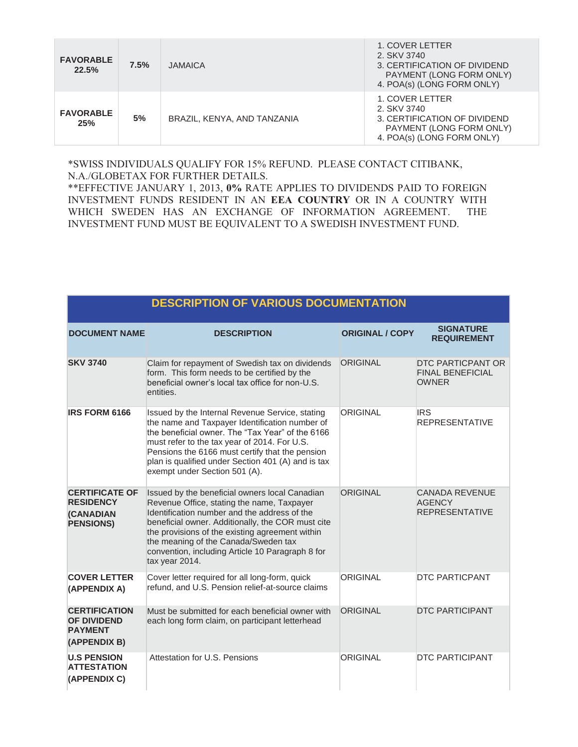| <b>FAVORABLE</b><br>22.5% | 7.5% | <b>JAMAICA</b>              | 1. COVER LETTER<br>2. SKV 3740<br>3. CERTIFICATION OF DIVIDEND<br>PAYMENT (LONG FORM ONLY)<br>4. POA(s) (LONG FORM ONLY) |
|---------------------------|------|-----------------------------|--------------------------------------------------------------------------------------------------------------------------|
| <b>FAVORABLE</b><br>25%   | 5%   | BRAZIL, KENYA, AND TANZANIA | 1. COVER LETTER<br>2. SKV 3740<br>3. CERTIFICATION OF DIVIDEND<br>PAYMENT (LONG FORM ONLY)<br>4. POA(s) (LONG FORM ONLY) |

#### \*SWISS INDIVIDUALS QUALIFY FOR 15% REFUND. PLEASE CONTACT CITIBANK, N.A./GLOBETAX FOR FURTHER DETAILS.

\*\*EFFECTIVE JANUARY 1, 2013, **0%** RATE APPLIES TO DIVIDENDS PAID TO FOREIGN INVESTMENT FUNDS RESIDENT IN AN **EEA COUNTRY** OR IN A COUNTRY WITH WHICH SWEDEN HAS AN EXCHANGE OF INFORMATION AGREEMENT. THE INVESTMENT FUND MUST BE EQUIVALENT TO A SWEDISH INVESTMENT FUND.

**DESCRIPTION OF VARIOUS DOCUMENTATION** 

|                                                                                   | PLJUNIF HUN UF VANIOUJ PUGUMLNTATIUN                                                                                                                                                                                                                                                                                                                               |                        |                                                                 |
|-----------------------------------------------------------------------------------|--------------------------------------------------------------------------------------------------------------------------------------------------------------------------------------------------------------------------------------------------------------------------------------------------------------------------------------------------------------------|------------------------|-----------------------------------------------------------------|
| <b>DOCUMENT NAME</b>                                                              | <b>DESCRIPTION</b>                                                                                                                                                                                                                                                                                                                                                 | <b>ORIGINAL / COPY</b> | <b>SIGNATURE</b><br><b>REQUIREMENT</b>                          |
| <b>SKV 3740</b>                                                                   | Claim for repayment of Swedish tax on dividends<br>form. This form needs to be certified by the<br>beneficial owner's local tax office for non-U.S.<br>entities.                                                                                                                                                                                                   | <b>ORIGINAL</b>        | DTC PARTICPANT OR<br><b>FINAL BENEFICIAL</b><br><b>OWNER</b>    |
| <b>IRS FORM 6166</b>                                                              | Issued by the Internal Revenue Service, stating<br>the name and Taxpayer Identification number of<br>the beneficial owner. The "Tax Year" of the 6166<br>must refer to the tax year of 2014. For U.S.<br>Pensions the 6166 must certify that the pension<br>plan is qualified under Section 401 (A) and is tax<br>exempt under Section 501 (A).                    | ORIGINAL               | <b>IRS</b><br><b>REPRESENTATIVE</b>                             |
| <b>CERTIFICATE OF</b><br><b>RESIDENCY</b><br><b>(CANADIAN</b><br><b>PENSIONS)</b> | Issued by the beneficial owners local Canadian<br>Revenue Office, stating the name, Taxpayer<br>Identification number and the address of the<br>beneficial owner. Additionally, the COR must cite<br>the provisions of the existing agreement within<br>the meaning of the Canada/Sweden tax<br>convention, including Article 10 Paragraph 8 for<br>tax year 2014. | <b>ORIGINAL</b>        | <b>CANADA REVENUE</b><br><b>AGENCY</b><br><b>REPRESENTATIVE</b> |
| <b>COVER LETTER</b><br>(APPENDIX A)                                               | Cover letter required for all long-form, quick<br>refund, and U.S. Pension relief-at-source claims                                                                                                                                                                                                                                                                 | ORIGINAL               | <b>DTC PARTICPANT</b>                                           |
| <b>CERTIFICATION</b><br><b>OF DIVIDEND</b><br><b>PAYMENT</b><br>(APPENDIX B)      | Must be submitted for each beneficial owner with<br>each long form claim, on participant letterhead                                                                                                                                                                                                                                                                | ORIGINAL               | <b>DTC PARTICIPANT</b>                                          |
| <b>U.S PENSION</b><br><b>ATTESTATION</b><br>(APPENDIX C)                          | Attestation for U.S. Pensions                                                                                                                                                                                                                                                                                                                                      | <b>ORIGINAL</b>        | <b>DTC PARTICIPANT</b>                                          |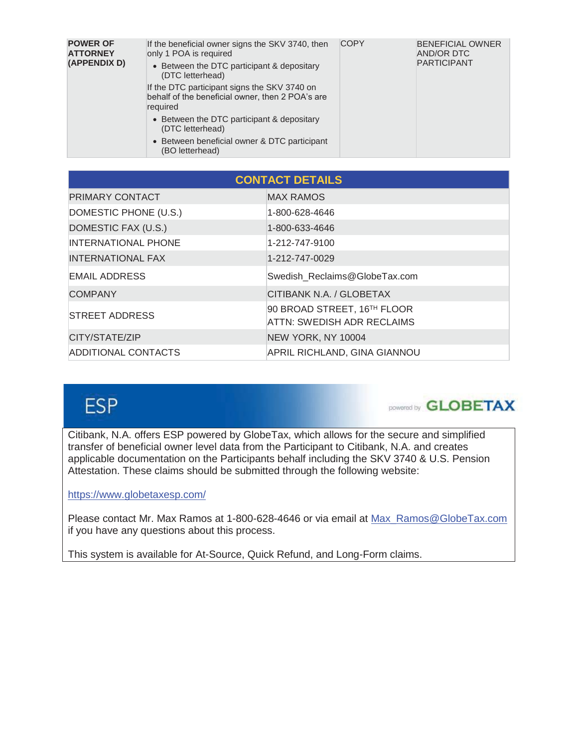| <b>POWER OF</b><br><b>ATTORNEY</b><br>(APPENDIX D) | If the beneficial owner signs the SKV 3740, then<br>only 1 POA is required<br>• Between the DTC participant & depositary<br>(DTC letterhead)<br>If the DTC participant signs the SKV 3740 on<br>behalf of the beneficial owner, then 2 POA's are<br>required | <b>COPY</b> | <b>BENEFICIAL OWNER</b><br><b>AND/OR DTC</b><br><b>PARTICIPANT</b> |
|----------------------------------------------------|--------------------------------------------------------------------------------------------------------------------------------------------------------------------------------------------------------------------------------------------------------------|-------------|--------------------------------------------------------------------|
|                                                    | • Between the DTC participant & depositary<br>(DTC letterhead)<br>• Between beneficial owner & DTC participant<br>(BO letterhead)                                                                                                                            |             |                                                                    |

| <b>CONTACT DETAILS</b>     |                                                                  |  |  |
|----------------------------|------------------------------------------------------------------|--|--|
| PRIMARY CONTACT            | <b>MAX RAMOS</b>                                                 |  |  |
| DOMESTIC PHONE (U.S.)      | 1-800-628-4646                                                   |  |  |
| DOMESTIC FAX (U.S.)        | 1-800-633-4646                                                   |  |  |
| <b>INTERNATIONAL PHONE</b> | 1-212-747-9100                                                   |  |  |
| <b>INTERNATIONAL FAX</b>   | 1-212-747-0029                                                   |  |  |
| <b>EMAIL ADDRESS</b>       | Swedish Reclaims@GlobeTax.com                                    |  |  |
| <b>COMPANY</b>             | CITIBANK N.A. / GLOBETAX                                         |  |  |
| <b>STREET ADDRESS</b>      | 90 BROAD STREET, 16TH FLOOR<br><b>ATTN: SWEDISH ADR RECLAIMS</b> |  |  |
| CITY/STATE/ZIP             | NEW YORK, NY 10004                                               |  |  |
| <b>ADDITIONAL CONTACTS</b> | APRIL RICHLAND, GINA GIANNOU                                     |  |  |

# **ESP**



Citibank, N.A. offers ESP powered by GlobeTax, which allows for the secure and simplified transfer of beneficial owner level data from the Participant to Citibank, N.A. and creates applicable documentation on the Participants behalf including the SKV 3740 & U.S. Pension Attestation. These claims should be submitted through the following website:

## https://www.globetaxesp.com/

Please contact Mr. Max Ramos at 1-800-628-4646 or via email at Max\_Ramos@GlobeTax.com if you have any questions about this process.

This system is available for At-Source, Quick Refund, and Long-Form claims.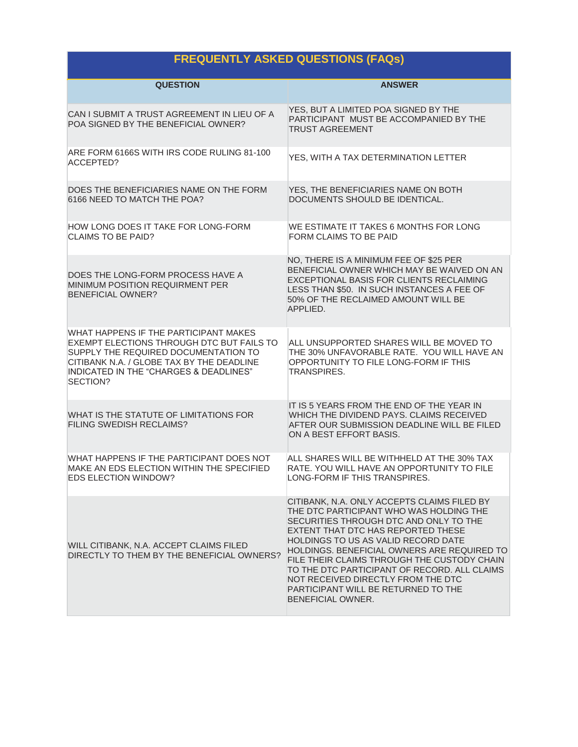# **FREQUENTLY ASKED QUESTIONS (FAQs)**

| <b>QUESTION</b>                                                                                                                                                                                                               | <b>ANSWER</b>                                                                                                                                                                                                                                                                                                                                                                                                                                                        |
|-------------------------------------------------------------------------------------------------------------------------------------------------------------------------------------------------------------------------------|----------------------------------------------------------------------------------------------------------------------------------------------------------------------------------------------------------------------------------------------------------------------------------------------------------------------------------------------------------------------------------------------------------------------------------------------------------------------|
| CAN I SUBMIT A TRUST AGREEMENT IN LIEU OF A<br>POA SIGNED BY THE BENEFICIAL OWNER?                                                                                                                                            | YES, BUT A LIMITED POA SIGNED BY THE<br>PARTICIPANT MUST BE ACCOMPANIED BY THE<br><b>TRUST AGREEMENT</b>                                                                                                                                                                                                                                                                                                                                                             |
| ARE FORM 6166S WITH IRS CODE RULING 81-100<br>ACCEPTED?                                                                                                                                                                       | YES, WITH A TAX DETERMINATION LETTER                                                                                                                                                                                                                                                                                                                                                                                                                                 |
| DOES THE BENEFICIARIES NAME ON THE FORM<br>6166 NEED TO MATCH THE POA?                                                                                                                                                        | YES, THE BENEFICIARIES NAME ON BOTH<br>DOCUMENTS SHOULD BE IDENTICAL.                                                                                                                                                                                                                                                                                                                                                                                                |
| HOW LONG DOES IT TAKE FOR LONG-FORM<br><b>CLAIMS TO BE PAID?</b>                                                                                                                                                              | WE ESTIMATE IT TAKES 6 MONTHS FOR LONG<br>FORM CLAIMS TO BE PAID                                                                                                                                                                                                                                                                                                                                                                                                     |
| DOES THE LONG-FORM PROCESS HAVE A<br><b>MINIMUM POSITION REQUIRMENT PER</b><br><b>BENEFICIAL OWNER?</b>                                                                                                                       | NO, THERE IS A MINIMUM FEE OF \$25 PER<br>BENEFICIAL OWNER WHICH MAY BE WAIVED ON AN<br>EXCEPTIONAL BASIS FOR CLIENTS RECLAIMING<br>LESS THAN \$50. IN SUCH INSTANCES A FEE OF<br>50% OF THE RECLAIMED AMOUNT WILL BE<br>APPLIED.                                                                                                                                                                                                                                    |
| WHAT HAPPENS IF THE PARTICIPANT MAKES<br>EXEMPT ELECTIONS THROUGH DTC BUT FAILS TO<br>SUPPLY THE REQUIRED DOCUMENTATION TO<br>CITIBANK N.A. / GLOBE TAX BY THE DEADLINE<br>INDICATED IN THE "CHARGES & DEADLINES"<br>SECTION? | ALL UNSUPPORTED SHARES WILL BE MOVED TO<br>THE 30% UNFAVORABLE RATE. YOU WILL HAVE AN<br>OPPORTUNITY TO FILE LONG-FORM IF THIS<br>TRANSPIRES.                                                                                                                                                                                                                                                                                                                        |
| WHAT IS THE STATUTE OF LIMITATIONS FOR<br><b>FILING SWEDISH RECLAIMS?</b>                                                                                                                                                     | IT IS 5 YEARS FROM THE END OF THE YEAR IN<br>WHICH THE DIVIDEND PAYS, CLAIMS RECEIVED<br>AFTER OUR SUBMISSION DEADLINE WILL BE FILED<br>ON A BEST EFFORT BASIS.                                                                                                                                                                                                                                                                                                      |
| WHAT HAPPENS IF THE PARTICIPANT DOES NOT<br>MAKE AN EDS ELECTION WITHIN THE SPECIFIED<br><b>EDS ELECTION WINDOW?</b>                                                                                                          | ALL SHARES WILL BE WITHHELD AT THE 30% TAX<br>RATE, YOU WILL HAVE AN OPPORTUNITY TO FILE<br>LONG-FORM IF THIS TRANSPIRES.                                                                                                                                                                                                                                                                                                                                            |
| WILL CITIBANK, N.A. ACCEPT CLAIMS FILED<br>DIRECTLY TO THEM BY THE BENEFICIAL OWNERS?                                                                                                                                         | CITIBANK, N.A. ONLY ACCEPTS CLAIMS FILED BY<br>THE DTC PARTICIPANT WHO WAS HOLDING THE<br>SECURITIES THROUGH DTC AND ONLY TO THE<br>EXTENT THAT DTC HAS REPORTED THESE<br><b>HOLDINGS TO US AS VALID RECORD DATE</b><br>HOLDINGS. BENEFICIAL OWNERS ARE REQUIRED TO<br>FILE THEIR CLAIMS THROUGH THE CUSTODY CHAIN<br>TO THE DTC PARTICIPANT OF RECORD. ALL CLAIMS<br>NOT RECEIVED DIRECTLY FROM THE DTC<br>PARTICIPANT WILL BE RETURNED TO THE<br>BENEFICIAL OWNER. |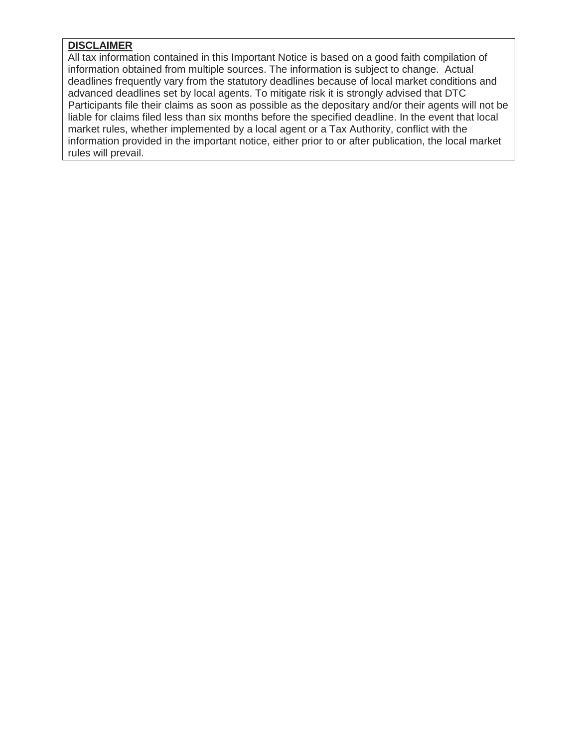## **DISCLAIMER**

All tax information contained in this Important Notice is based on a good faith compilation of information obtained from multiple sources. The information is subject to change. Actual deadlines frequently vary from the statutory deadlines because of local market conditions and advanced deadlines set by local agents. To mitigate risk it is strongly advised that DTC Participants file their claims as soon as possible as the depositary and/or their agents will not be liable for claims filed less than six months before the specified deadline. In the event that local market rules, whether implemented by a local agent or a Tax Authority, conflict with the information provided in the important notice, either prior to or after publication, the local market rules will prevail.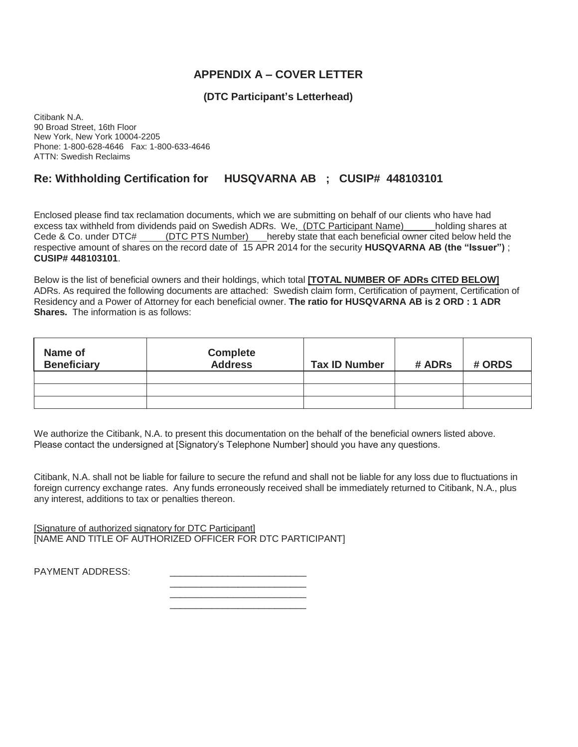## **APPENDIX A – COVER LETTER**

## **(DTC Participant's Letterhead)**

Citibank N.A. 90 Broad Street, 16th Floor New York, New York 10004-2205 Phone: 1-800-628-4646 Fax: 1-800-633-4646 ATTN: Swedish Reclaims

# **Re: Withholding Certification for HUSQVARNA AB ; CUSIP# 448103101**

Enclosed please find tax reclamation documents, which we are submitting on behalf of our clients who have had excess tax withheld from dividends paid on Swedish ADRs. We, (DTC Participant Name) bolding shares at Cede & Co. under DTC# (DTC PTS Number) hereby state that each beneficial owner cited below held the respective amount of shares on the record date of 15 APR 2014 for the security **HUSQVARNA AB (the "Issuer")** ; **CUSIP# 448103101**.

Below is the list of beneficial owners and their holdings, which total **[TOTAL NUMBER OF ADRs CITED BELOW]** ADRs. As required the following documents are attached: Swedish claim form, Certification of payment, Certification of Residency and a Power of Attorney for each beneficial owner. **The ratio for HUSQVARNA AB is 2 ORD : 1 ADR Shares.** The information is as follows:

| Name of<br><b>Beneficiary</b> | <b>Complete</b><br><b>Address</b> | <b>Tax ID Number</b> | # ADRs | # ORDS |
|-------------------------------|-----------------------------------|----------------------|--------|--------|
|                               |                                   |                      |        |        |
|                               |                                   |                      |        |        |
|                               |                                   |                      |        |        |

We authorize the Citibank, N.A. to present this documentation on the behalf of the beneficial owners listed above. Please contact the undersigned at [Signatory's Telephone Number] should you have any questions.

\_\_\_\_\_\_\_\_\_\_\_\_\_\_\_\_\_\_\_\_\_\_\_\_\_\_

Citibank, N.A. shall not be liable for failure to secure the refund and shall not be liable for any loss due to fluctuations in foreign currency exchange rates. Any funds erroneously received shall be immediately returned to Citibank, N.A., plus any interest, additions to tax or penalties thereon.

[Signature of authorized signatory for DTC Participant] [NAME AND TITLE OF AUTHORIZED OFFICER FOR DTC PARTICIPANT]

 $\frac{1}{\sqrt{2}}$  ,  $\frac{1}{\sqrt{2}}$  ,  $\frac{1}{\sqrt{2}}$  ,  $\frac{1}{\sqrt{2}}$  ,  $\frac{1}{\sqrt{2}}$  ,  $\frac{1}{\sqrt{2}}$  ,  $\frac{1}{\sqrt{2}}$  ,  $\frac{1}{\sqrt{2}}$  ,  $\frac{1}{\sqrt{2}}$  ,  $\frac{1}{\sqrt{2}}$  ,  $\frac{1}{\sqrt{2}}$  ,  $\frac{1}{\sqrt{2}}$  ,  $\frac{1}{\sqrt{2}}$  ,  $\frac{1}{\sqrt{2}}$  ,  $\frac{1}{\sqrt{2}}$ 

 $\frac{1}{\sqrt{2}}$  ,  $\frac{1}{\sqrt{2}}$  ,  $\frac{1}{\sqrt{2}}$  ,  $\frac{1}{\sqrt{2}}$  ,  $\frac{1}{\sqrt{2}}$  ,  $\frac{1}{\sqrt{2}}$  ,  $\frac{1}{\sqrt{2}}$  ,  $\frac{1}{\sqrt{2}}$  ,  $\frac{1}{\sqrt{2}}$  ,  $\frac{1}{\sqrt{2}}$  ,  $\frac{1}{\sqrt{2}}$  ,  $\frac{1}{\sqrt{2}}$  ,  $\frac{1}{\sqrt{2}}$  ,  $\frac{1}{\sqrt{2}}$  ,  $\frac{1}{\sqrt{2}}$ 

PAYMENT ADDRESS: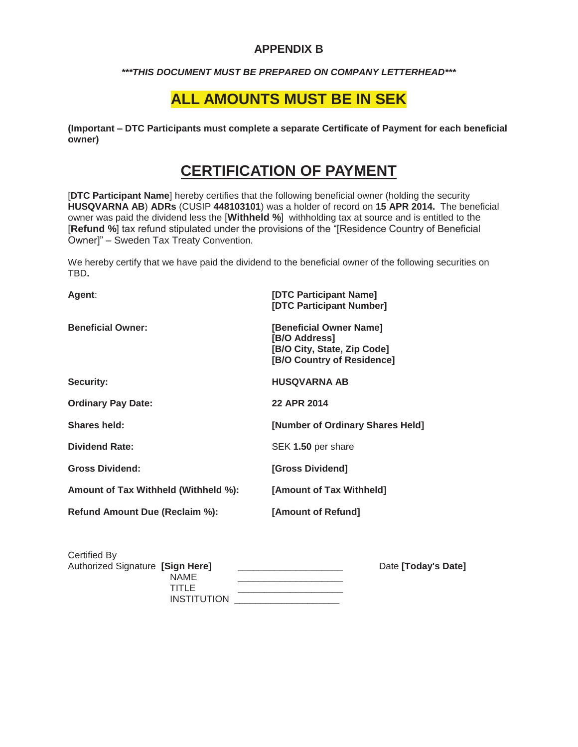# **APPENDIX B**

#### *\*\*\*THIS DOCUMENT MUST BE PREPARED ON COMPANY LETTERHEAD\*\*\**

# **ALL AMOUNTS MUST BE IN SEK**

**(Important – DTC Participants must complete a separate Certificate of Payment for each beneficial owner)**

# **CERTIFICATION OF PAYMENT**

[**DTC Participant Name**] hereby certifies that the following beneficial owner (holding the security **HUSQVARNA AB**) **ADRs** (CUSIP **448103101**) was a holder of record on **15 APR 2014.** The beneficial owner was paid the dividend less the [**Withheld %**] withholding tax at source and is entitled to the [**Refund %**] tax refund stipulated under the provisions of the "[Residence Country of Beneficial Owner]" – Sweden Tax Treaty Convention.

We hereby certify that we have paid the dividend to the beneficial owner of the following securities on TBD**.**

| Agent:                               | [DTC Participant Name]<br>[DTC Participant Number]                                                    |
|--------------------------------------|-------------------------------------------------------------------------------------------------------|
| <b>Beneficial Owner:</b>             | [Beneficial Owner Name]<br>[B/O Address]<br>[B/O City, State, Zip Code]<br>[B/O Country of Residence] |
| Security:                            | HUSQVARNA AB                                                                                          |
| <b>Ordinary Pay Date:</b>            | 22 APR 2014                                                                                           |
| Shares held:                         | [Number of Ordinary Shares Held]                                                                      |
| <b>Dividend Rate:</b>                | SEK 1.50 per share                                                                                    |
| <b>Gross Dividend:</b>               | [Gross Dividend]                                                                                      |
| Amount of Tax Withheld (Withheld %): | [Amount of Tax Withheld]                                                                              |
| Refund Amount Due (Reclaim %):       | [Amount of Refund]                                                                                    |

| Certified By                     |                    |                     |
|----------------------------------|--------------------|---------------------|
| Authorized Signature [Sign Here] |                    | Date [Today's Date] |
| NAME                             |                    |                     |
| TITLE                            |                    |                     |
|                                  | <b>INSTITUTION</b> |                     |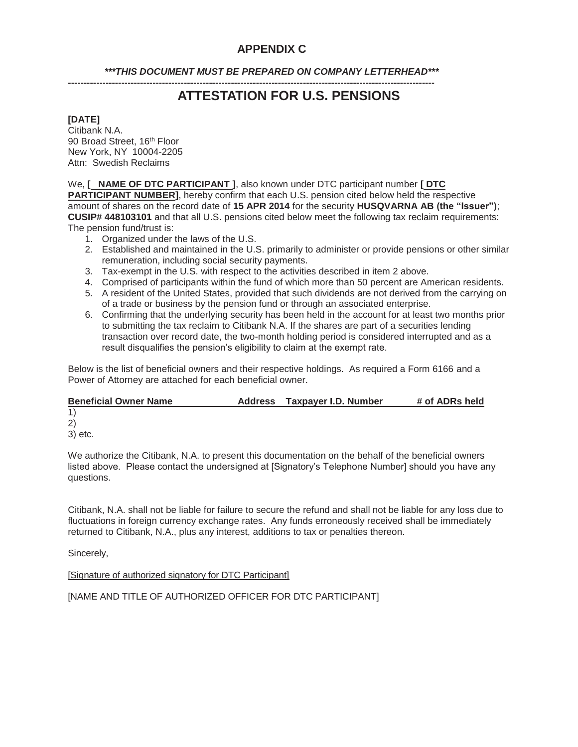## **APPENDIX C**

*\*\*\*THIS DOCUMENT MUST BE PREPARED ON COMPANY LETTERHEAD\*\*\** 

**---------------------------------------------------------------------------------------------------------------------** 

# **ATTESTATION FOR U.S. PENSIONS**

#### **[DATE]**

Citibank N.A. 90 Broad Street, 16<sup>th</sup> Floor New York, NY 10004-2205 Attn: Swedish Reclaims

We, **[ NAME OF DTC PARTICIPANT ]**, also known under DTC participant number **[ DTC PARTICIPANT NUMBER]**, hereby confirm that each U.S. pension cited below held the respective amount of shares on the record date of **15 APR 2014** for the security **HUSQVARNA AB (the "Issuer")**; **CUSIP# 448103101** and that all U.S. pensions cited below meet the following tax reclaim requirements: The pension fund/trust is:

- 1. Organized under the laws of the U.S.
- 2. Established and maintained in the U.S. primarily to administer or provide pensions or other similar remuneration, including social security payments.
- 3. Tax-exempt in the U.S. with respect to the activities described in item 2 above.
- 4. Comprised of participants within the fund of which more than 50 percent are American residents.
- 5. A resident of the United States, provided that such dividends are not derived from the carrying on of a trade or business by the pension fund or through an associated enterprise.
- 6. Confirming that the underlying security has been held in the account for at least two months prior to submitting the tax reclaim to Citibank N.A. If the shares are part of a securities lending transaction over record date, the two-month holding period is considered interrupted and as a result disqualifies the pension's eligibility to claim at the exempt rate.

Below is the list of beneficial owners and their respective holdings. As required a Form 6166 and a Power of Attorney are attached for each beneficial owner.

| <b>Beneficial Owner Name</b> | Address | Taxpaver I.D. Number | # of ADRs held |
|------------------------------|---------|----------------------|----------------|
|                              |         |                      |                |
| 2)                           |         |                      |                |
| 3) etc.                      |         |                      |                |

We authorize the Citibank, N.A. to present this documentation on the behalf of the beneficial owners listed above. Please contact the undersigned at [Signatory's Telephone Number] should you have any questions.

Citibank, N.A. shall not be liable for failure to secure the refund and shall not be liable for any loss due to fluctuations in foreign currency exchange rates. Any funds erroneously received shall be immediately returned to Citibank, N.A., plus any interest, additions to tax or penalties thereon.

Sincerely,

[Signature of authorized signatory for DTC Participant]

[NAME AND TITLE OF AUTHORIZED OFFICER FOR DTC PARTICIPANT]